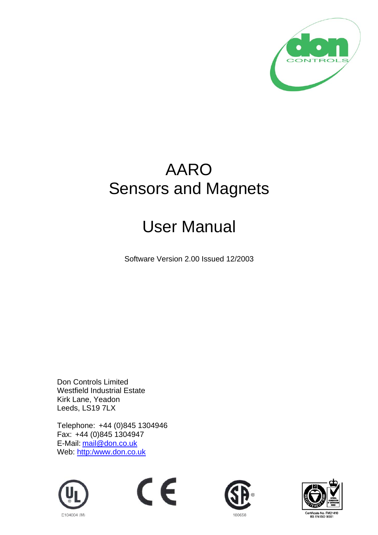

# AARO Sensors and Magnets

# User Manual

Software Version 2.00 Issued 12/2003

Don Controls Limited Westfield Industrial Estate Kirk Lane, Yeadon Leeds, LS19 7LX

Telephone: +44 (0)845 1304946 Fax: +44 (0)845 1304947 E-Mail: mail@don.co.uk Web: http:/www.don.co.uk







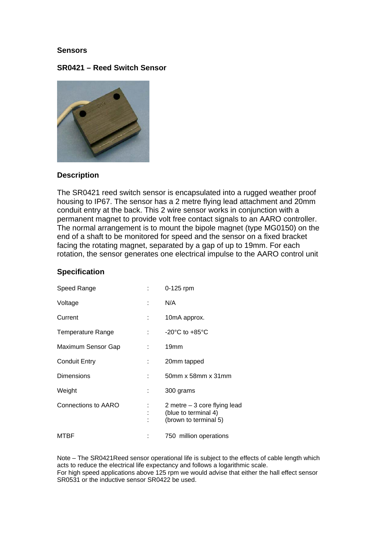#### **Sensors**

## **SR0421 – Reed Switch Sensor**



## **Description**

The SR0421 reed switch sensor is encapsulated into a rugged weather proof housing to IP67. The sensor has a 2 metre flying lead attachment and 20mm conduit entry at the back. This 2 wire sensor works in conjunction with a permanent magnet to provide volt free contact signals to an AARO controller. The normal arrangement is to mount the bipole magnet (type MG0150) on the end of a shaft to be monitored for speed and the sensor on a fixed bracket facing the rotating magnet, separated by a gap of up to 19mm. For each rotation, the sensor generates one electrical impulse to the AARO control unit

## **Specification**

| Speed Range          | 0-125 rpm                                                                      |
|----------------------|--------------------------------------------------------------------------------|
| Voltage              | N/A                                                                            |
| Current              | 10mA approx.                                                                   |
| Temperature Range    | -20 $\mathrm{^{\circ}C}$ to +85 $\mathrm{^{\circ}C}$                           |
| Maximum Sensor Gap   | 19 <sub>mm</sub>                                                               |
| <b>Conduit Entry</b> | 20mm tapped                                                                    |
| Dimensions           | 50mm x 58mm x 31mm                                                             |
| Weight               | 300 grams                                                                      |
| Connections to AARO  | 2 metre $-3$ core flying lead<br>(blue to terminal 4)<br>(brown to terminal 5) |
| MTBF                 | 750 million operations                                                         |

Note – The SR0421Reed sensor operational life is subject to the effects of cable length which acts to reduce the electrical life expectancy and follows a logarithmic scale. For high speed applications above 125 rpm we would advise that either the hall effect sensor SR0531 or the inductive sensor SR0422 be used.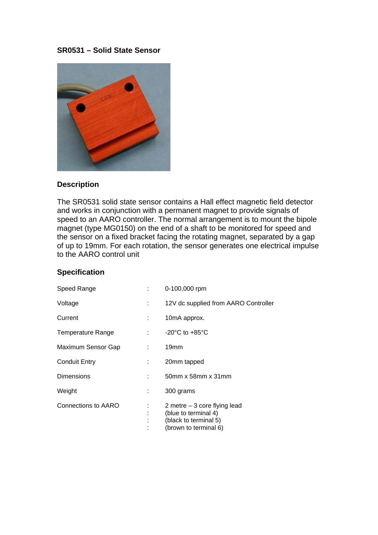## **SR0531 – Solid State Sensor**



## **Description**

The SR0531 solid state sensor contains a Hall effect magnetic field detector and works in conjunction with a permanent magnet to provide signals of speed to an AARO controller. The normal arrangement is to mount the bipole magnet (type MG0150) on the end of a shaft to be monitored for speed and the sensor on a fixed bracket facing the rotating magnet, separated by a gap of up to 19mm. For each rotation, the sensor generates one electrical impulse to the AARO control unit

## **Specification**

| Speed Range          |    | 0-100,000 rpm                                                                                           |
|----------------------|----|---------------------------------------------------------------------------------------------------------|
| Voltage              |    | 12V dc supplied from AARO Controller                                                                    |
| Current              |    | 10mA approx.                                                                                            |
| Temperature Range    | ÷  | $-20^{\circ}$ C to $+85^{\circ}$ C                                                                      |
| Maximum Sensor Gap   | t. | 19 <sub>mm</sub>                                                                                        |
| <b>Conduit Entry</b> | ÷  | 20mm tapped                                                                                             |
| <b>Dimensions</b>    |    | 50mm x 58mm x 31mm                                                                                      |
| Weight               |    | 300 grams                                                                                               |
| Connections to AARO  |    | 2 metre $-3$ core flying lead<br>(blue to terminal 4)<br>(black to terminal 5)<br>(brown to terminal 6) |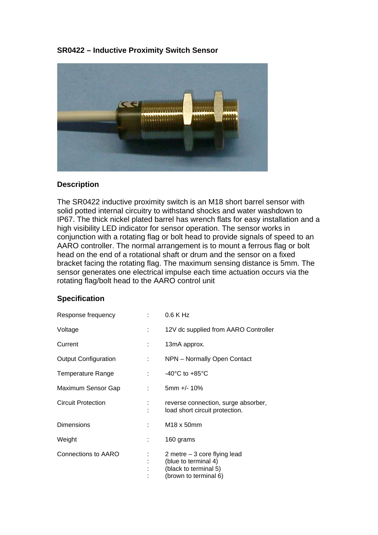## **SR0422 – Inductive Proximity Switch Sensor**



## **Description**

The SR0422 inductive proximity switch is an M18 short barrel sensor with solid potted internal circuitry to withstand shocks and water washdown to IP67. The thick nickel plated barrel has wrench flats for easy installation and a high visibility LED indicator for sensor operation. The sensor works in conjunction with a rotating flag or bolt head to provide signals of speed to an AARO controller. The normal arrangement is to mount a ferrous flag or bolt head on the end of a rotational shaft or drum and the sensor on a fixed bracket facing the rotating flag. The maximum sensing distance is 5mm. The sensor generates one electrical impulse each time actuation occurs via the rotating flag/bolt head to the AARO control unit

## **Specification**

| Response frequency          | $0.6$ K Hz                                                                                              |
|-----------------------------|---------------------------------------------------------------------------------------------------------|
| Voltage                     | 12V dc supplied from AARO Controller                                                                    |
| Current                     | 13mA approx.                                                                                            |
| <b>Output Configuration</b> | NPN - Normally Open Contact                                                                             |
| Temperature Range           | -40 $^{\circ}$ C to +85 $^{\circ}$ C                                                                    |
| Maximum Sensor Gap          | $5mm +/- 10\%$                                                                                          |
| <b>Circuit Protection</b>   | reverse connection, surge absorber,<br>load short circuit protection.                                   |
| <b>Dimensions</b>           | $M18 \times 50$ mm                                                                                      |
| Weight                      | 160 grams                                                                                               |
| Connections to AARO         | 2 metre $-3$ core flying lead<br>(blue to terminal 4)<br>(black to terminal 5)<br>(brown to terminal 6) |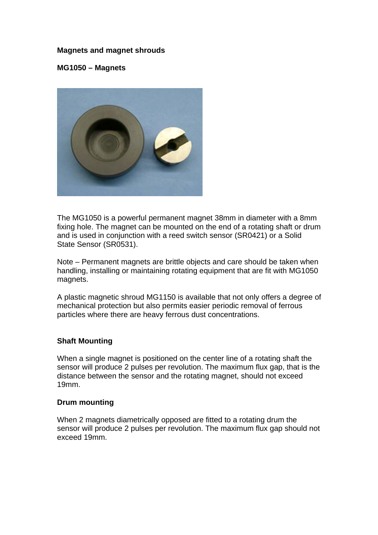## **Magnets and magnet shrouds**

**MG1050 – Magnets** 



The MG1050 is a powerful permanent magnet 38mm in diameter with a 8mm fixing hole. The magnet can be mounted on the end of a rotating shaft or drum and is used in conjunction with a reed switch sensor (SR0421) or a Solid State Sensor (SR0531).

Note – Permanent magnets are brittle objects and care should be taken when handling, installing or maintaining rotating equipment that are fit with MG1050 magnets.

A plastic magnetic shroud MG1150 is available that not only offers a degree of mechanical protection but also permits easier periodic removal of ferrous particles where there are heavy ferrous dust concentrations.

## **Shaft Mounting**

When a single magnet is positioned on the center line of a rotating shaft the sensor will produce 2 pulses per revolution. The maximum flux gap, that is the distance between the sensor and the rotating magnet, should not exceed 19mm.

## **Drum mounting**

When 2 magnets diametrically opposed are fitted to a rotating drum the sensor will produce 2 pulses per revolution. The maximum flux gap should not exceed 19mm.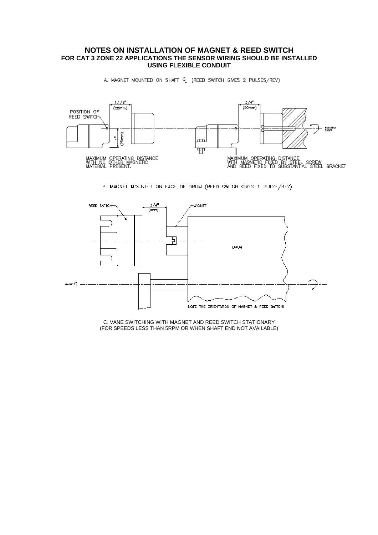#### **NOTES ON INSTALLATION OF MAGNET & REED SWITCH FOR CAT 3 ZONE 22 APPLICATIONS THE SENSOR WIRING SHOULD BE INSTALLED USING FLEXIBLE CONDUIT**

A. MAGNET MOUNTED ON SHAFT Q (REED SWITCH GIVES 2 PULSES/REV)



B. MAGNET MOUNTED ON FACE OF DRUM (REED SWITCH GIVES 1 PULSE/REV)



C. VANE SWITCHING WITH MAGNET AND REED SWITCH STATIONARY (FOR SPEEDS LESS THAN 5RPM OR WHEN SHAFT END NOT AVAILABLE)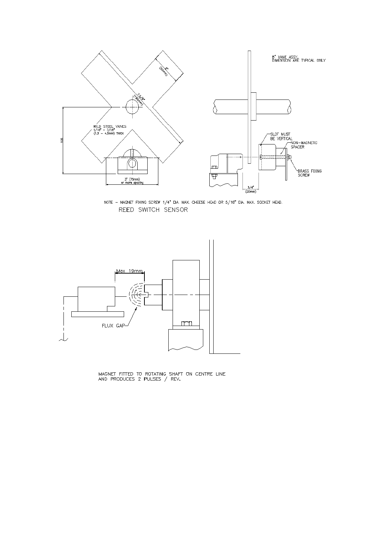





MAGNET FITTED TO ROTATING SHAFT ON CENTRE LINE AND PRODUCES 2 PULSES  $/$  REV.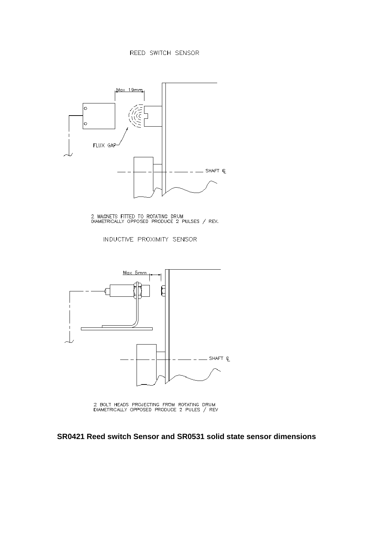#### REED SWITCH SENSOR



2 MAGNETS FITTED TO ROTATING DRUM<br>DIAMETRICALLY OPPOSED PRODUCE 2 PULSES / REV.

INDUCTIVE PROXIMITY SENSOR



2 BOLT HEADS PROJECTING FROM ROTATING DRUM<br>DIAMETRICALLY OPPOSED PRODUCE 2 PULES / REV

## SR0421 Reed switch Sensor and SR0531 solid state sensor dimensions